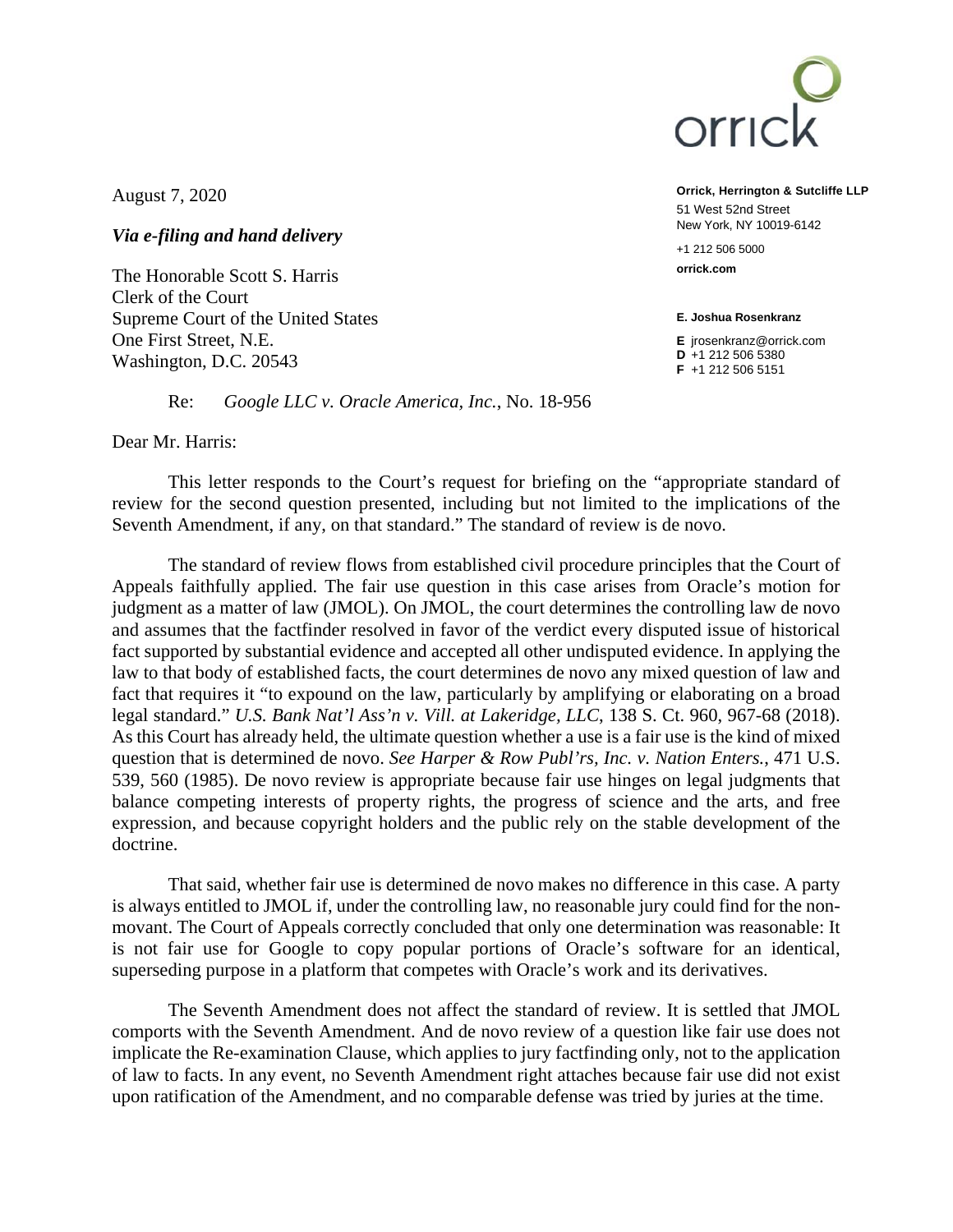

August 7, 2020

*Via e-filing and hand delivery* 

The Honorable Scott S. Harris Clerk of the Court Supreme Court of the United States One First Street, N.E. Washington, D.C. 20543

Re: *Google LLC v. Oracle America, Inc.*, No. 18-956

Dear Mr. Harris:

This letter responds to the Court's request for briefing on the "appropriate standard of review for the second question presented, including but not limited to the implications of the Seventh Amendment, if any, on that standard." The standard of review is de novo.

The standard of review flows from established civil procedure principles that the Court of Appeals faithfully applied. The fair use question in this case arises from Oracle's motion for judgment as a matter of law (JMOL). On JMOL, the court determines the controlling law de novo and assumes that the factfinder resolved in favor of the verdict every disputed issue of historical fact supported by substantial evidence and accepted all other undisputed evidence. In applying the law to that body of established facts, the court determines de novo any mixed question of law and fact that requires it "to expound on the law, particularly by amplifying or elaborating on a broad legal standard." *U.S. Bank Nat'l Ass'n v. Vill. at Lakeridge, LLC*, 138 S. Ct. 960, 967-68 (2018). As this Court has already held, the ultimate question whether a use is a fair use is the kind of mixed question that is determined de novo. *See Harper & Row Publ'rs, Inc. v. Nation Enters.*, 471 U.S. 539, 560 (1985). De novo review is appropriate because fair use hinges on legal judgments that balance competing interests of property rights, the progress of science and the arts, and free expression, and because copyright holders and the public rely on the stable development of the doctrine.

That said, whether fair use is determined de novo makes no difference in this case. A party is always entitled to JMOL if, under the controlling law, no reasonable jury could find for the nonmovant. The Court of Appeals correctly concluded that only one determination was reasonable: It is not fair use for Google to copy popular portions of Oracle's software for an identical, superseding purpose in a platform that competes with Oracle's work and its derivatives.

The Seventh Amendment does not affect the standard of review. It is settled that JMOL comports with the Seventh Amendment. And de novo review of a question like fair use does not implicate the Re-examination Clause, which applies to jury factfinding only, not to the application of law to facts. In any event, no Seventh Amendment right attaches because fair use did not exist upon ratification of the Amendment, and no comparable defense was tried by juries at the time.

**Orrick, Herrington & Sutcliffe LLP**  51 West 52nd Street New York, NY 10019-6142

+1 212 506 5000 **orrick.com** 

**E. Joshua Rosenkranz** 

**E** jrosenkranz@orrick.com **D** +1 212 506 5380 **F** +1 212 506 5151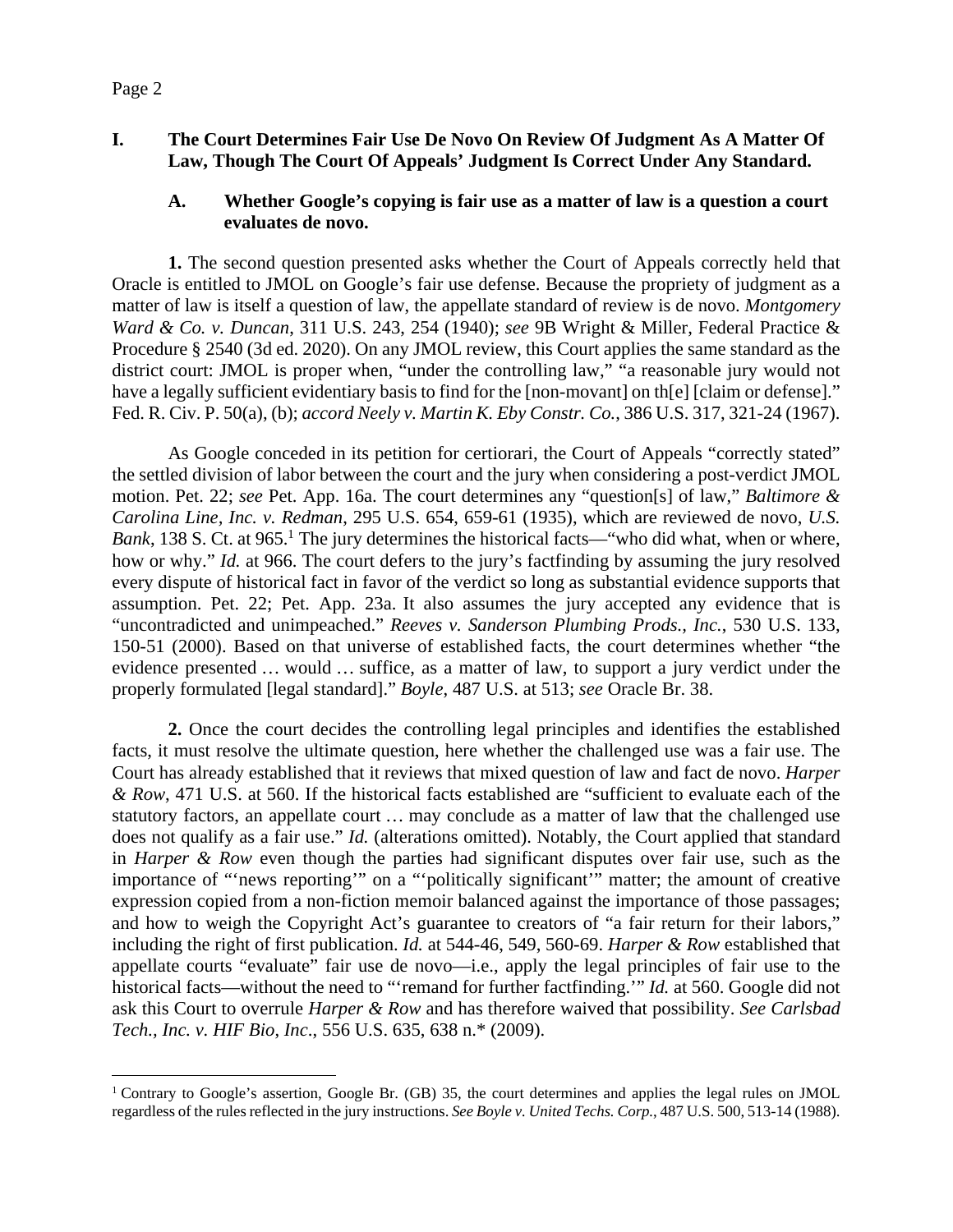# **I. The Court Determines Fair Use De Novo On Review Of Judgment As A Matter Of Law, Though The Court Of Appeals' Judgment Is Correct Under Any Standard.**

## **A. Whether Google's copying is fair use as a matter of law is a question a court evaluates de novo.**

**1.** The second question presented asks whether the Court of Appeals correctly held that Oracle is entitled to JMOL on Google's fair use defense. Because the propriety of judgment as a matter of law is itself a question of law, the appellate standard of review is de novo. *Montgomery Ward & Co. v. Duncan*, 311 U.S. 243, 254 (1940); *see* 9B Wright & Miller, Federal Practice & Procedure § 2540 (3d ed. 2020). On any JMOL review, this Court applies the same standard as the district court: JMOL is proper when, "under the controlling law," "a reasonable jury would not have a legally sufficient evidentiary basis to find for the [non-movant] on th[e] [claim or defense]." Fed. R. Civ. P. 50(a), (b); *accord Neely v. Martin K. Eby Constr. Co.*, 386 U.S. 317, 321-24 (1967).

As Google conceded in its petition for certiorari, the Court of Appeals "correctly stated" the settled division of labor between the court and the jury when considering a post-verdict JMOL motion. Pet. 22; *see* Pet. App. 16a. The court determines any "question[s] of law," *Baltimore & Carolina Line, Inc. v. Redman*, 295 U.S. 654, 659-61 (1935), which are reviewed de novo, *U.S.*  Bank, 138 S. Ct. at 965.<sup>1</sup> The jury determines the historical facts—"who did what, when or where, how or why." *Id.* at 966. The court defers to the jury's factfinding by assuming the jury resolved every dispute of historical fact in favor of the verdict so long as substantial evidence supports that assumption. Pet. 22; Pet. App. 23a. It also assumes the jury accepted any evidence that is "uncontradicted and unimpeached." *Reeves v. Sanderson Plumbing Prods., Inc.*, 530 U.S. 133, 150-51 (2000). Based on that universe of established facts, the court determines whether "the evidence presented … would … suffice, as a matter of law, to support a jury verdict under the properly formulated [legal standard]." *Boyle*, 487 U.S. at 513; *see* Oracle Br. 38.

**2.** Once the court decides the controlling legal principles and identifies the established facts, it must resolve the ultimate question, here whether the challenged use was a fair use. The Court has already established that it reviews that mixed question of law and fact de novo. *Harper & Row*, 471 U.S. at 560. If the historical facts established are "sufficient to evaluate each of the statutory factors, an appellate court … may conclude as a matter of law that the challenged use does not qualify as a fair use." *Id.* (alterations omitted). Notably, the Court applied that standard in *Harper & Row* even though the parties had significant disputes over fair use, such as the importance of "'news reporting'" on a "'politically significant'" matter; the amount of creative expression copied from a non-fiction memoir balanced against the importance of those passages; and how to weigh the Copyright Act's guarantee to creators of "a fair return for their labors," including the right of first publication. *Id.* at 544-46, 549, 560-69. *Harper & Row* established that appellate courts "evaluate" fair use de novo—i.e., apply the legal principles of fair use to the historical facts—without the need to "'remand for further factfinding.'" *Id.* at 560. Google did not ask this Court to overrule *Harper & Row* and has therefore waived that possibility. *See Carlsbad Tech., Inc. v. HIF Bio*, *Inc*., 556 U.S. 635, 638 n.\* (2009).

<sup>&</sup>lt;sup>1</sup> Contrary to Google's assertion, Google Br. (GB) 35, the court determines and applies the legal rules on JMOL regardless of the rules reflected in the jury instructions. *See Boyle v. United Techs. Corp.*, 487 U.S. 500, 513-14 (1988).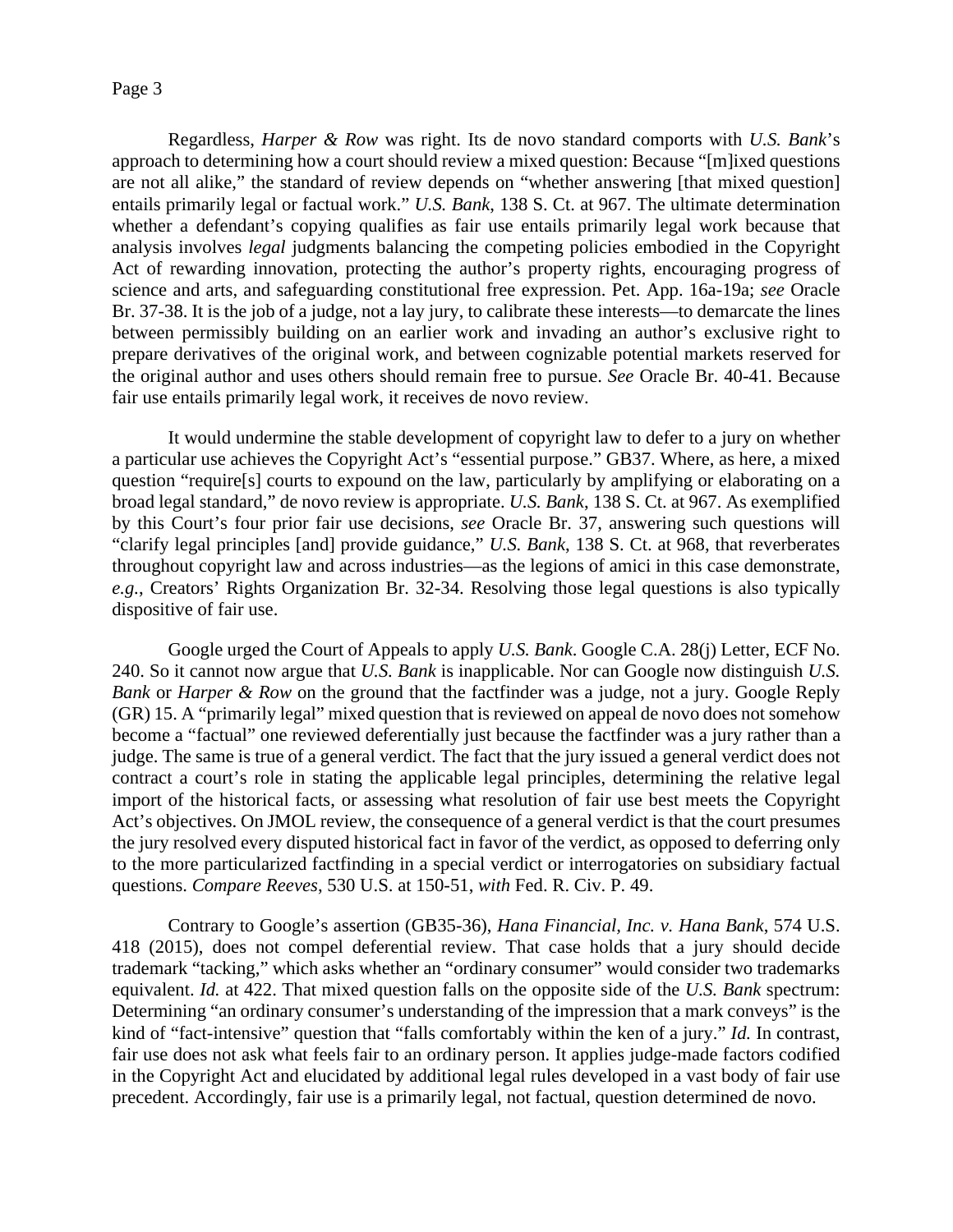Regardless, *Harper & Row* was right. Its de novo standard comports with *U.S. Bank*'s approach to determining how a court should review a mixed question: Because "[m]ixed questions are not all alike," the standard of review depends on "whether answering [that mixed question] entails primarily legal or factual work." *U.S. Bank*, 138 S. Ct. at 967. The ultimate determination whether a defendant's copying qualifies as fair use entails primarily legal work because that analysis involves *legal* judgments balancing the competing policies embodied in the Copyright Act of rewarding innovation, protecting the author's property rights, encouraging progress of science and arts, and safeguarding constitutional free expression. Pet. App. 16a-19a; *see* Oracle Br. 37-38. It is the job of a judge, not a lay jury, to calibrate these interests—to demarcate the lines between permissibly building on an earlier work and invading an author's exclusive right to prepare derivatives of the original work, and between cognizable potential markets reserved for the original author and uses others should remain free to pursue. *See* Oracle Br. 40-41. Because fair use entails primarily legal work, it receives de novo review.

It would undermine the stable development of copyright law to defer to a jury on whether a particular use achieves the Copyright Act's "essential purpose." GB37. Where, as here, a mixed question "require[s] courts to expound on the law, particularly by amplifying or elaborating on a broad legal standard," de novo review is appropriate. *U.S. Bank*, 138 S. Ct. at 967. As exemplified by this Court's four prior fair use decisions, *see* Oracle Br. 37, answering such questions will "clarify legal principles [and] provide guidance," *U.S. Bank*, 138 S. Ct. at 968, that reverberates throughout copyright law and across industries—as the legions of amici in this case demonstrate, *e.g.*, Creators' Rights Organization Br. 32-34. Resolving those legal questions is also typically dispositive of fair use.

Google urged the Court of Appeals to apply *U.S. Bank*. Google C.A. 28(j) Letter, ECF No. 240. So it cannot now argue that *U.S. Bank* is inapplicable. Nor can Google now distinguish *U.S. Bank* or *Harper & Row* on the ground that the factfinder was a judge, not a jury. Google Reply (GR) 15. A "primarily legal" mixed question that is reviewed on appeal de novo does not somehow become a "factual" one reviewed deferentially just because the factfinder was a jury rather than a judge. The same is true of a general verdict. The fact that the jury issued a general verdict does not contract a court's role in stating the applicable legal principles, determining the relative legal import of the historical facts, or assessing what resolution of fair use best meets the Copyright Act's objectives. On JMOL review, the consequence of a general verdict is that the court presumes the jury resolved every disputed historical fact in favor of the verdict, as opposed to deferring only to the more particularized factfinding in a special verdict or interrogatories on subsidiary factual questions. *Compare Reeves*, 530 U.S. at 150-51, *with* Fed. R. Civ. P. 49.

Contrary to Google's assertion (GB35-36), *Hana Financial, Inc. v. Hana Bank*, 574 U.S. 418 (2015), does not compel deferential review. That case holds that a jury should decide trademark "tacking," which asks whether an "ordinary consumer" would consider two trademarks equivalent. *Id.* at 422. That mixed question falls on the opposite side of the *U.S. Bank* spectrum: Determining "an ordinary consumer's understanding of the impression that a mark conveys" is the kind of "fact-intensive" question that "falls comfortably within the ken of a jury." *Id.* In contrast, fair use does not ask what feels fair to an ordinary person. It applies judge-made factors codified in the Copyright Act and elucidated by additional legal rules developed in a vast body of fair use precedent. Accordingly, fair use is a primarily legal, not factual, question determined de novo.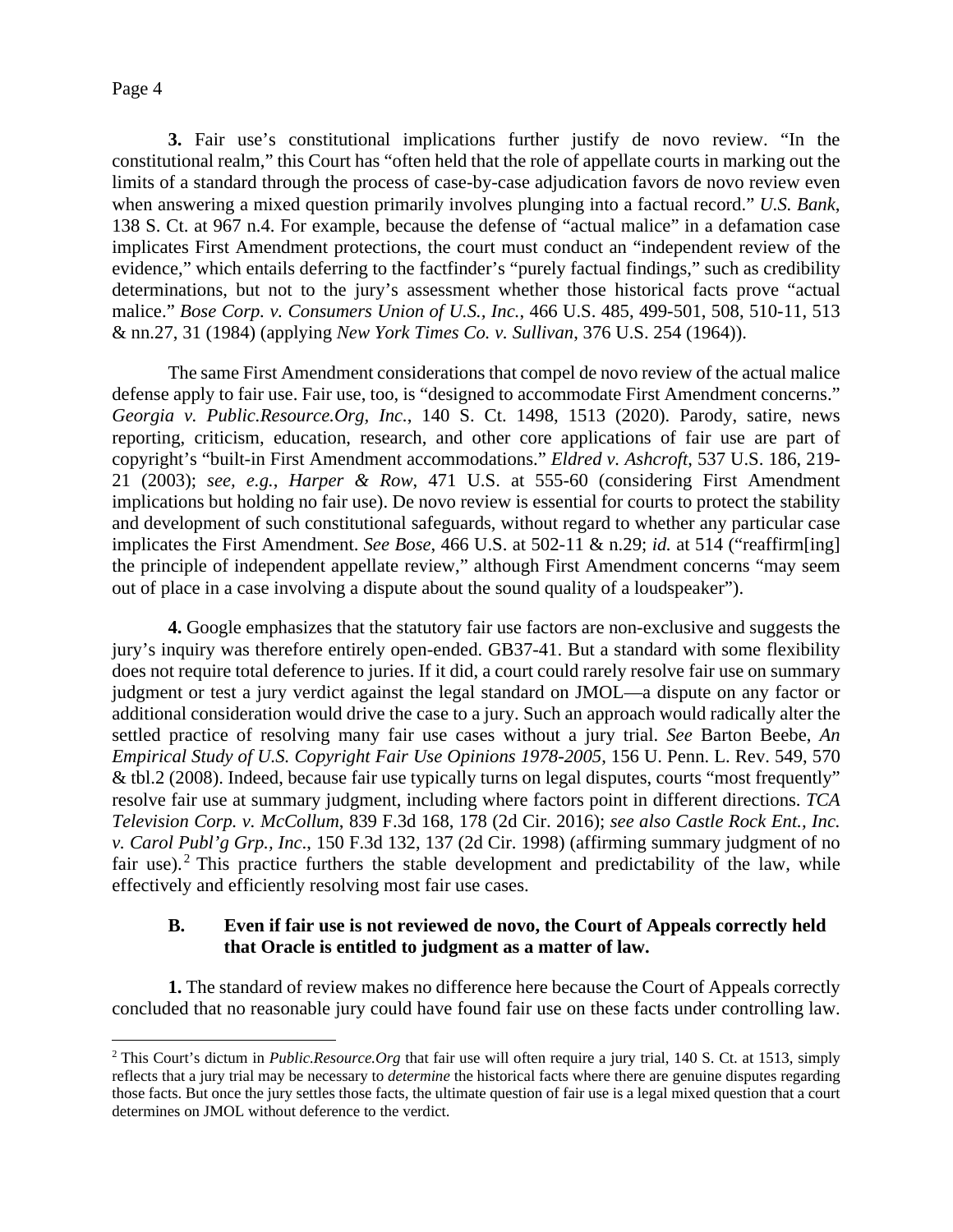**3.** Fair use's constitutional implications further justify de novo review. "In the constitutional realm," this Court has "often held that the role of appellate courts in marking out the limits of a standard through the process of case-by-case adjudication favors de novo review even when answering a mixed question primarily involves plunging into a factual record." *U.S. Bank*, 138 S. Ct. at 967 n.4. For example, because the defense of "actual malice" in a defamation case implicates First Amendment protections, the court must conduct an "independent review of the evidence," which entails deferring to the factfinder's "purely factual findings," such as credibility determinations, but not to the jury's assessment whether those historical facts prove "actual malice." *Bose Corp. v. Consumers Union of U.S., Inc.*, 466 U.S. 485, 499-501, 508, 510-11, 513 & nn.27, 31 (1984) (applying *New York Times Co. v. Sullivan*, 376 U.S. 254 (1964)).

The same First Amendment considerations that compel de novo review of the actual malice defense apply to fair use. Fair use, too, is "designed to accommodate First Amendment concerns." *Georgia v. Public.Resource.Org, Inc.*, 140 S. Ct. 1498, 1513 (2020). Parody, satire, news reporting, criticism, education, research, and other core applications of fair use are part of copyright's "built-in First Amendment accommodations." *Eldred v. Ashcroft*, 537 U.S. 186, 219- 21 (2003); *see, e.g.*, *Harper & Row*, 471 U.S. at 555-60 (considering First Amendment implications but holding no fair use). De novo review is essential for courts to protect the stability and development of such constitutional safeguards, without regard to whether any particular case implicates the First Amendment. *See Bose*, 466 U.S. at 502-11 & n.29; *id.* at 514 ("reaffirm[ing] the principle of independent appellate review," although First Amendment concerns "may seem out of place in a case involving a dispute about the sound quality of a loudspeaker").

**4.** Google emphasizes that the statutory fair use factors are non-exclusive and suggests the jury's inquiry was therefore entirely open-ended. GB37-41. But a standard with some flexibility does not require total deference to juries. If it did, a court could rarely resolve fair use on summary judgment or test a jury verdict against the legal standard on JMOL—a dispute on any factor or additional consideration would drive the case to a jury. Such an approach would radically alter the settled practice of resolving many fair use cases without a jury trial. *See* Barton Beebe, *An Empirical Study of U.S. Copyright Fair Use Opinions 1978-2005*, 156 U. Penn. L. Rev. 549, 570 & tbl.2 (2008). Indeed, because fair use typically turns on legal disputes, courts "most frequently" resolve fair use at summary judgment, including where factors point in different directions. *TCA Television Corp. v. McCollum*, 839 F.3d 168, 178 (2d Cir. 2016); *see also Castle Rock Ent., Inc. v. Carol Publ'g Grp., Inc*., 150 F.3d 132, 137 (2d Cir. 1998) (affirming summary judgment of no fair use).<sup>2</sup> This practice furthers the stable development and predictability of the law, while effectively and efficiently resolving most fair use cases.

## **B. Even if fair use is not reviewed de novo, the Court of Appeals correctly held that Oracle is entitled to judgment as a matter of law.**

**1.** The standard of review makes no difference here because the Court of Appeals correctly concluded that no reasonable jury could have found fair use on these facts under controlling law.

<sup>2</sup> This Court's dictum in *Public.Resource.Org* that fair use will often require a jury trial, 140 S. Ct. at 1513, simply reflects that a jury trial may be necessary to *determine* the historical facts where there are genuine disputes regarding those facts. But once the jury settles those facts, the ultimate question of fair use is a legal mixed question that a court determines on JMOL without deference to the verdict.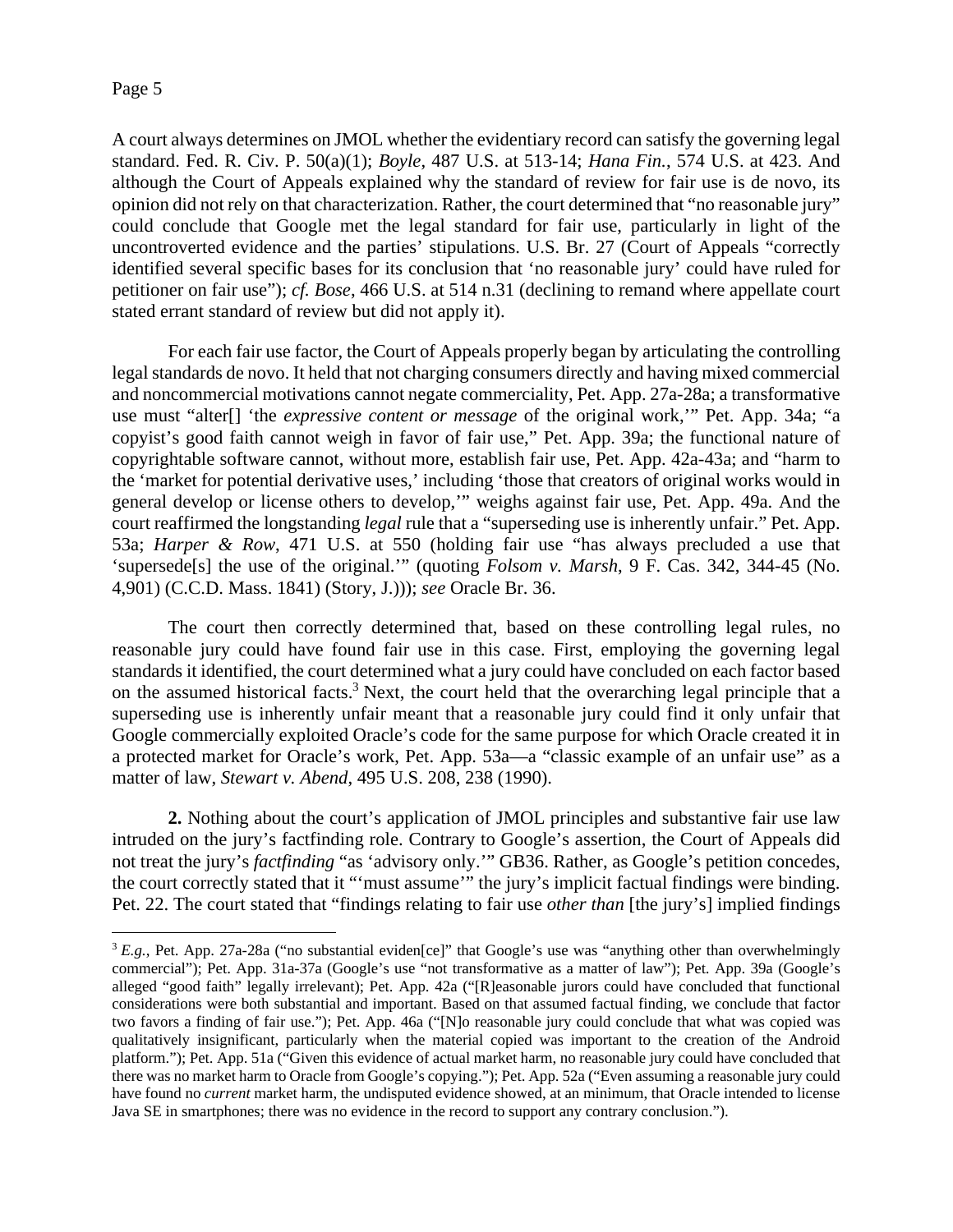A court always determines on JMOL whether the evidentiary record can satisfy the governing legal standard. Fed. R. Civ. P. 50(a)(1); *Boyle*, 487 U.S. at 513-14; *Hana Fin.*, 574 U.S. at 423. And although the Court of Appeals explained why the standard of review for fair use is de novo, its opinion did not rely on that characterization. Rather, the court determined that "no reasonable jury" could conclude that Google met the legal standard for fair use, particularly in light of the uncontroverted evidence and the parties' stipulations. U.S. Br. 27 (Court of Appeals "correctly identified several specific bases for its conclusion that 'no reasonable jury' could have ruled for petitioner on fair use"); *cf. Bose*, 466 U.S. at 514 n.31 (declining to remand where appellate court stated errant standard of review but did not apply it).

For each fair use factor, the Court of Appeals properly began by articulating the controlling legal standards de novo. It held that not charging consumers directly and having mixed commercial and noncommercial motivations cannot negate commerciality, Pet. App. 27a-28a; a transformative use must "alter[] 'the *expressive content or message* of the original work,'" Pet. App. 34a; "a copyist's good faith cannot weigh in favor of fair use," Pet. App. 39a; the functional nature of copyrightable software cannot, without more, establish fair use, Pet. App. 42a-43a; and "harm to the 'market for potential derivative uses,' including 'those that creators of original works would in general develop or license others to develop,'" weighs against fair use, Pet. App. 49a. And the court reaffirmed the longstanding *legal* rule that a "superseding use is inherently unfair." Pet. App. 53a; *Harper & Row*, 471 U.S. at 550 (holding fair use "has always precluded a use that 'supersede[s] the use of the original.'" (quoting *Folsom v. Marsh*, 9 F. Cas. 342, 344-45 (No. 4,901) (C.C.D. Mass. 1841) (Story, J.))); *see* Oracle Br. 36.

The court then correctly determined that, based on these controlling legal rules, no reasonable jury could have found fair use in this case. First, employing the governing legal standards it identified, the court determined what a jury could have concluded on each factor based on the assumed historical facts.<sup>3</sup> Next, the court held that the overarching legal principle that a superseding use is inherently unfair meant that a reasonable jury could find it only unfair that Google commercially exploited Oracle's code for the same purpose for which Oracle created it in a protected market for Oracle's work, Pet. App. 53a—a "classic example of an unfair use" as a matter of law, *Stewart v. Abend*, 495 U.S. 208, 238 (1990).

**2.** Nothing about the court's application of JMOL principles and substantive fair use law intruded on the jury's factfinding role. Contrary to Google's assertion, the Court of Appeals did not treat the jury's *factfinding* "as 'advisory only.'" GB36. Rather, as Google's petition concedes, the court correctly stated that it "'must assume'" the jury's implicit factual findings were binding. Pet. 22. The court stated that "findings relating to fair use *other than* [the jury's] implied findings

<sup>&</sup>lt;sup>3</sup> *E.g.*, Pet. App. 27a-28a ("no substantial eviden[ce]" that Google's use was "anything other than overwhelmingly commercial"); Pet. App. 31a-37a (Google's use "not transformative as a matter of law"); Pet. App. 39a (Google's alleged "good faith" legally irrelevant); Pet. App. 42a ("[R]easonable jurors could have concluded that functional considerations were both substantial and important. Based on that assumed factual finding, we conclude that factor two favors a finding of fair use."); Pet. App. 46a ("[N]o reasonable jury could conclude that what was copied was qualitatively insignificant, particularly when the material copied was important to the creation of the Android platform."); Pet. App. 51a ("Given this evidence of actual market harm, no reasonable jury could have concluded that there was no market harm to Oracle from Google's copying."); Pet. App. 52a ("Even assuming a reasonable jury could have found no *current* market harm, the undisputed evidence showed, at an minimum, that Oracle intended to license Java SE in smartphones; there was no evidence in the record to support any contrary conclusion.").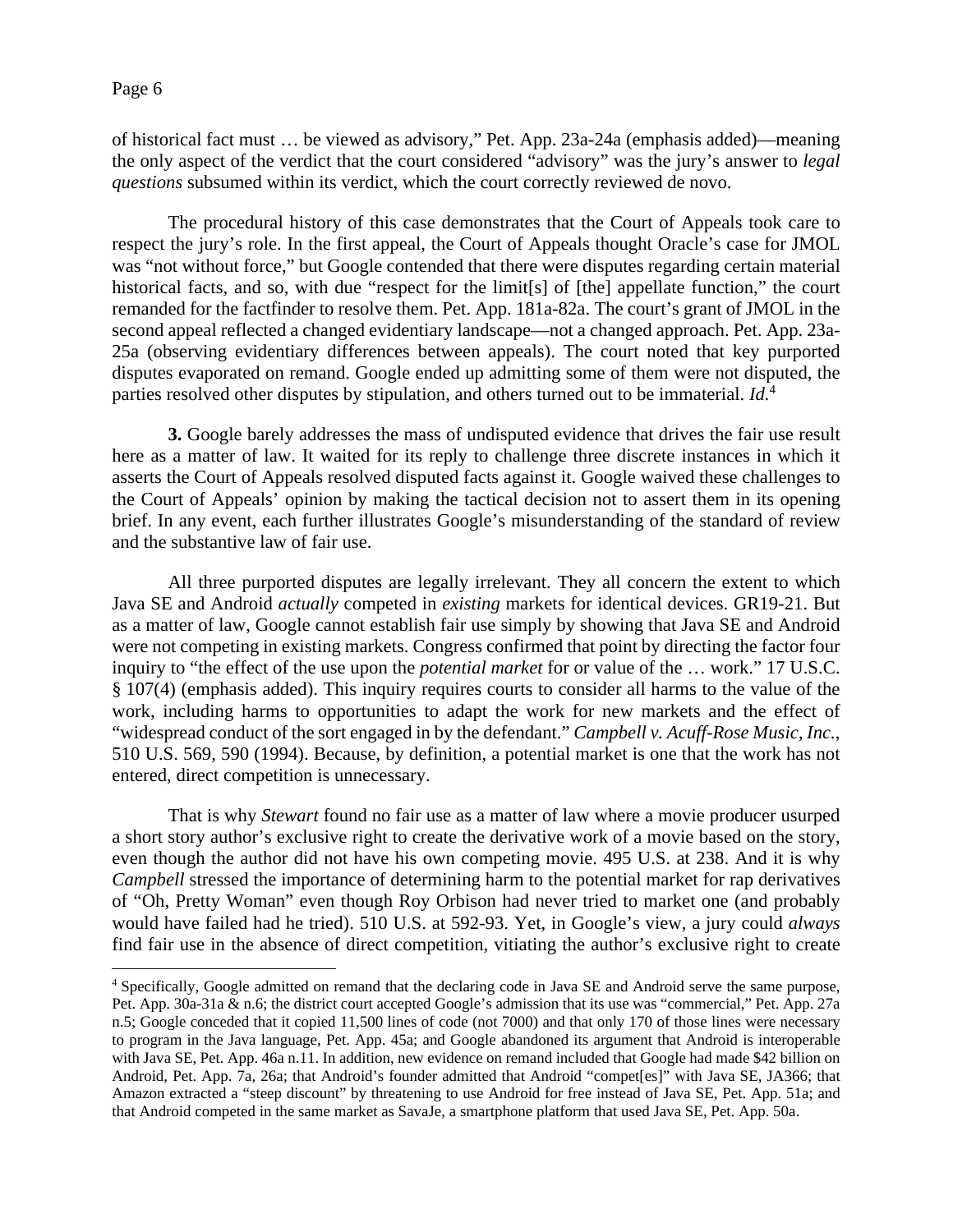of historical fact must … be viewed as advisory," Pet. App. 23a-24a (emphasis added)—meaning the only aspect of the verdict that the court considered "advisory" was the jury's answer to *legal questions* subsumed within its verdict, which the court correctly reviewed de novo.

The procedural history of this case demonstrates that the Court of Appeals took care to respect the jury's role. In the first appeal, the Court of Appeals thought Oracle's case for JMOL was "not without force," but Google contended that there were disputes regarding certain material historical facts, and so, with due "respect for the limit[s] of [the] appellate function," the court remanded for the factfinder to resolve them. Pet. App. 181a-82a. The court's grant of JMOL in the second appeal reflected a changed evidentiary landscape—not a changed approach. Pet. App. 23a-25a (observing evidentiary differences between appeals). The court noted that key purported disputes evaporated on remand. Google ended up admitting some of them were not disputed, the parties resolved other disputes by stipulation, and others turned out to be immaterial. *Id.*<sup>4</sup>

**3.** Google barely addresses the mass of undisputed evidence that drives the fair use result here as a matter of law. It waited for its reply to challenge three discrete instances in which it asserts the Court of Appeals resolved disputed facts against it. Google waived these challenges to the Court of Appeals' opinion by making the tactical decision not to assert them in its opening brief. In any event, each further illustrates Google's misunderstanding of the standard of review and the substantive law of fair use.

All three purported disputes are legally irrelevant. They all concern the extent to which Java SE and Android *actually* competed in *existing* markets for identical devices. GR19-21. But as a matter of law, Google cannot establish fair use simply by showing that Java SE and Android were not competing in existing markets. Congress confirmed that point by directing the factor four inquiry to "the effect of the use upon the *potential market* for or value of the … work." 17 U.S.C. § 107(4) (emphasis added). This inquiry requires courts to consider all harms to the value of the work, including harms to opportunities to adapt the work for new markets and the effect of "widespread conduct of the sort engaged in by the defendant." *Campbell v. Acuff-Rose Music, Inc.*, 510 U.S. 569, 590 (1994). Because, by definition, a potential market is one that the work has not entered, direct competition is unnecessary.

That is why *Stewart* found no fair use as a matter of law where a movie producer usurped a short story author's exclusive right to create the derivative work of a movie based on the story, even though the author did not have his own competing movie. 495 U.S. at 238. And it is why *Campbell* stressed the importance of determining harm to the potential market for rap derivatives of "Oh, Pretty Woman" even though Roy Orbison had never tried to market one (and probably would have failed had he tried). 510 U.S. at 592-93. Yet, in Google's view, a jury could *always*  find fair use in the absence of direct competition, vitiating the author's exclusive right to create

<sup>4</sup> Specifically, Google admitted on remand that the declaring code in Java SE and Android serve the same purpose, Pet. App. 30a-31a & n.6; the district court accepted Google's admission that its use was "commercial," Pet. App. 27a n.5; Google conceded that it copied 11,500 lines of code (not 7000) and that only 170 of those lines were necessary to program in the Java language, Pet. App. 45a; and Google abandoned its argument that Android is interoperable with Java SE, Pet. App. 46a n.11. In addition, new evidence on remand included that Google had made \$42 billion on Android, Pet. App. 7a, 26a; that Android's founder admitted that Android "compet[es]" with Java SE, JA366; that Amazon extracted a "steep discount" by threatening to use Android for free instead of Java SE, Pet. App. 51a; and that Android competed in the same market as SavaJe, a smartphone platform that used Java SE, Pet. App. 50a.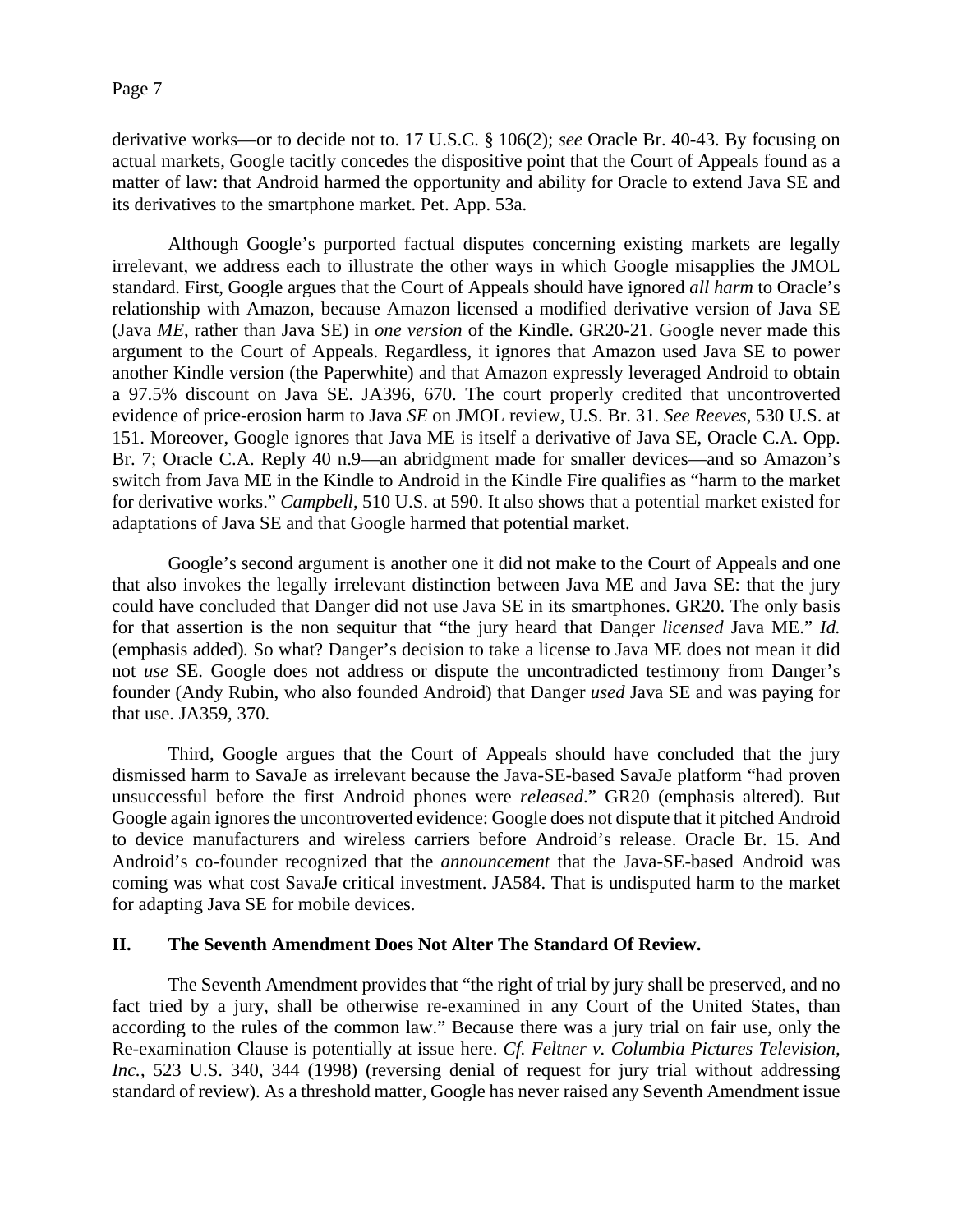derivative works—or to decide not to. 17 U.S.C. § 106(2); *see* Oracle Br. 40-43. By focusing on actual markets, Google tacitly concedes the dispositive point that the Court of Appeals found as a matter of law: that Android harmed the opportunity and ability for Oracle to extend Java SE and its derivatives to the smartphone market. Pet. App. 53a.

Although Google's purported factual disputes concerning existing markets are legally irrelevant, we address each to illustrate the other ways in which Google misapplies the JMOL standard. First, Google argues that the Court of Appeals should have ignored *all harm* to Oracle's relationship with Amazon, because Amazon licensed a modified derivative version of Java SE (Java *ME*, rather than Java SE) in *one version* of the Kindle. GR20-21. Google never made this argument to the Court of Appeals. Regardless, it ignores that Amazon used Java SE to power another Kindle version (the Paperwhite) and that Amazon expressly leveraged Android to obtain a 97.5% discount on Java SE. JA396, 670. The court properly credited that uncontroverted evidence of price-erosion harm to Java *SE* on JMOL review, U.S. Br. 31. *See Reeves*, 530 U.S. at 151. Moreover, Google ignores that Java ME is itself a derivative of Java SE, Oracle C.A. Opp. Br. 7; Oracle C.A. Reply 40 n.9—an abridgment made for smaller devices—and so Amazon's switch from Java ME in the Kindle to Android in the Kindle Fire qualifies as "harm to the market for derivative works." *Campbell*, 510 U.S. at 590. It also shows that a potential market existed for adaptations of Java SE and that Google harmed that potential market.

Google's second argument is another one it did not make to the Court of Appeals and one that also invokes the legally irrelevant distinction between Java ME and Java SE: that the jury could have concluded that Danger did not use Java SE in its smartphones. GR20. The only basis for that assertion is the non sequitur that "the jury heard that Danger *licensed* Java ME." *Id.*  (emphasis added)*.* So what? Danger's decision to take a license to Java ME does not mean it did not *use* SE. Google does not address or dispute the uncontradicted testimony from Danger's founder (Andy Rubin, who also founded Android) that Danger *used* Java SE and was paying for that use. JA359, 370.

Third, Google argues that the Court of Appeals should have concluded that the jury dismissed harm to SavaJe as irrelevant because the Java-SE-based SavaJe platform "had proven unsuccessful before the first Android phones were *released*." GR20 (emphasis altered). But Google again ignores the uncontroverted evidence: Google does not dispute that it pitched Android to device manufacturers and wireless carriers before Android's release. Oracle Br. 15. And Android's co-founder recognized that the *announcement* that the Java-SE-based Android was coming was what cost SavaJe critical investment. JA584. That is undisputed harm to the market for adapting Java SE for mobile devices.

## **II. The Seventh Amendment Does Not Alter The Standard Of Review.**

The Seventh Amendment provides that "the right of trial by jury shall be preserved, and no fact tried by a jury, shall be otherwise re-examined in any Court of the United States, than according to the rules of the common law." Because there was a jury trial on fair use, only the Re-examination Clause is potentially at issue here. *Cf. Feltner v. Columbia Pictures Television, Inc.*, 523 U.S. 340, 344 (1998) (reversing denial of request for jury trial without addressing standard of review). As a threshold matter, Google has never raised any Seventh Amendment issue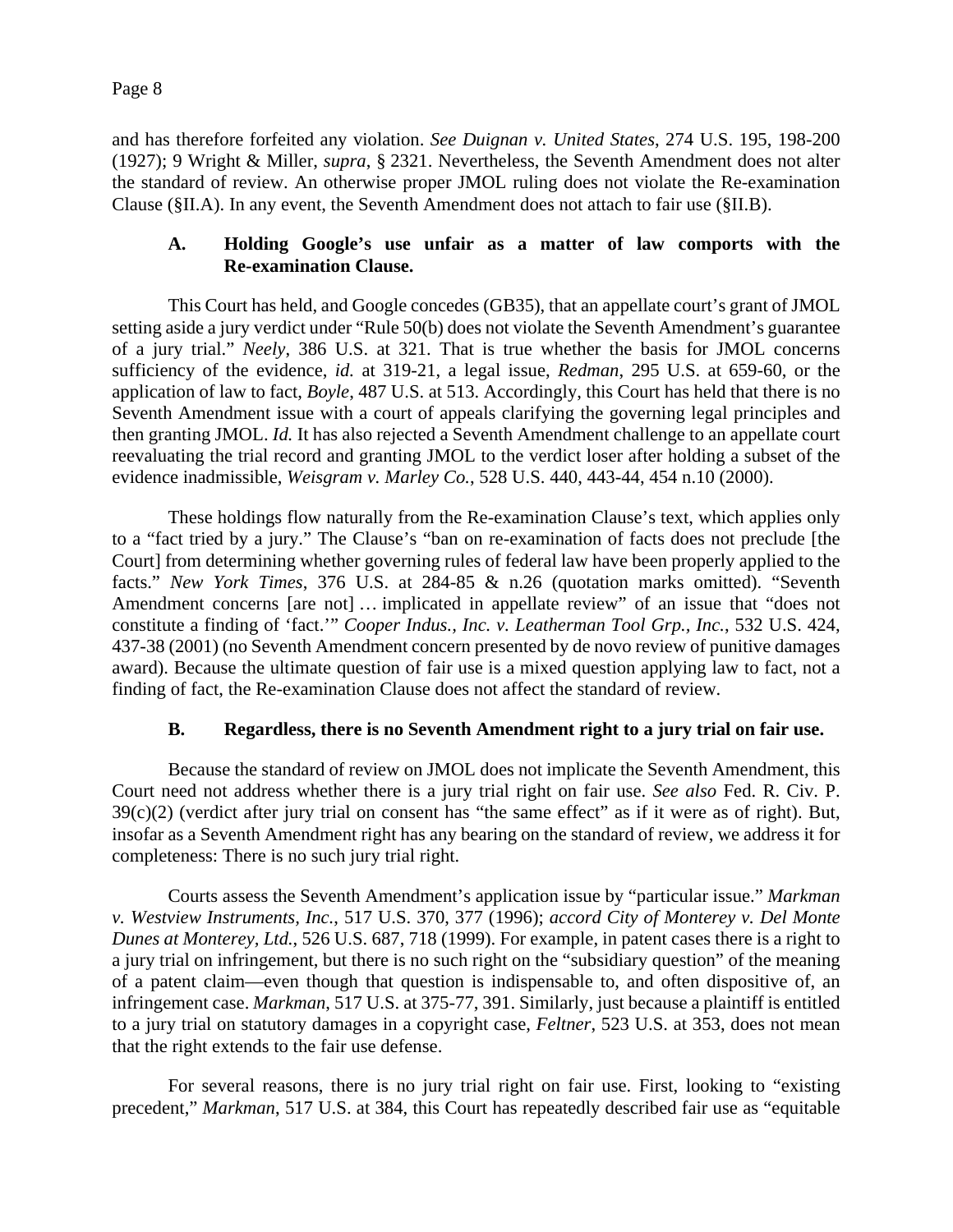and has therefore forfeited any violation. *See Duignan v. United States*, 274 U.S. 195, 198-200 (1927); 9 Wright & Miller, *supra*, § 2321. Nevertheless, the Seventh Amendment does not alter the standard of review. An otherwise proper JMOL ruling does not violate the Re-examination Clause (§II.A). In any event, the Seventh Amendment does not attach to fair use (§II.B).

## **A. Holding Google's use unfair as a matter of law comports with the Re-examination Clause.**

This Court has held, and Google concedes (GB35), that an appellate court's grant of JMOL setting aside a jury verdict under "Rule 50(b) does not violate the Seventh Amendment's guarantee of a jury trial." *Neely*, 386 U.S. at 321. That is true whether the basis for JMOL concerns sufficiency of the evidence, *id.* at 319-21, a legal issue, *Redman*, 295 U.S. at 659-60, or the application of law to fact, *Boyle*, 487 U.S. at 513. Accordingly, this Court has held that there is no Seventh Amendment issue with a court of appeals clarifying the governing legal principles and then granting JMOL. *Id.* It has also rejected a Seventh Amendment challenge to an appellate court reevaluating the trial record and granting JMOL to the verdict loser after holding a subset of the evidence inadmissible, *Weisgram v. Marley Co.*, 528 U.S. 440, 443-44, 454 n.10 (2000).

These holdings flow naturally from the Re-examination Clause's text, which applies only to a "fact tried by a jury." The Clause's "ban on re-examination of facts does not preclude [the Court] from determining whether governing rules of federal law have been properly applied to the facts." *New York Times*, 376 U.S. at 284-85 & n.26 (quotation marks omitted). "Seventh Amendment concerns [are not] … implicated in appellate review" of an issue that "does not constitute a finding of 'fact.'" *Cooper Indus., Inc. v. Leatherman Tool Grp., Inc.*, 532 U.S. 424, 437-38 (2001) (no Seventh Amendment concern presented by de novo review of punitive damages award). Because the ultimate question of fair use is a mixed question applying law to fact, not a finding of fact, the Re-examination Clause does not affect the standard of review.

# **B. Regardless, there is no Seventh Amendment right to a jury trial on fair use.**

Because the standard of review on JMOL does not implicate the Seventh Amendment, this Court need not address whether there is a jury trial right on fair use. *See also* Fed. R. Civ. P. 39(c)(2) (verdict after jury trial on consent has "the same effect" as if it were as of right). But, insofar as a Seventh Amendment right has any bearing on the standard of review, we address it for completeness: There is no such jury trial right.

Courts assess the Seventh Amendment's application issue by "particular issue." *Markman v. Westview Instruments, Inc.*, 517 U.S. 370, 377 (1996); *accord City of Monterey v. Del Monte Dunes at Monterey, Ltd.*, 526 U.S. 687, 718 (1999). For example, in patent cases there is a right to a jury trial on infringement, but there is no such right on the "subsidiary question" of the meaning of a patent claim—even though that question is indispensable to, and often dispositive of, an infringement case. *Markman*, 517 U.S. at 375-77, 391. Similarly, just because a plaintiff is entitled to a jury trial on statutory damages in a copyright case, *Feltner*, 523 U.S. at 353, does not mean that the right extends to the fair use defense.

For several reasons, there is no jury trial right on fair use. First, looking to "existing precedent," *Markman*, 517 U.S. at 384, this Court has repeatedly described fair use as "equitable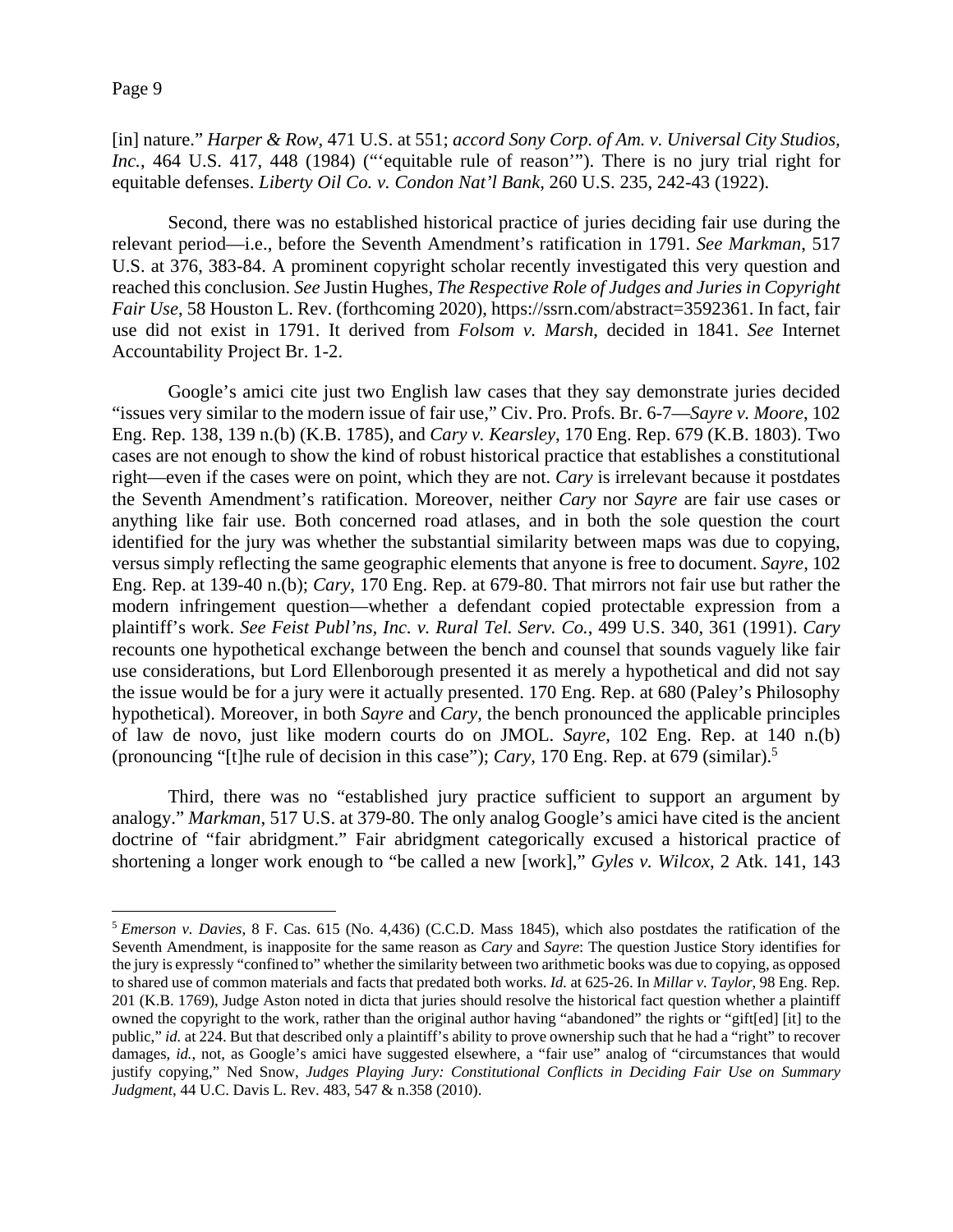[in] nature." *Harper & Row*, 471 U.S. at 551; *accord Sony Corp. of Am. v. Universal City Studios, Inc.*, 464 U.S. 417, 448 (1984) ("'equitable rule of reason"'). There is no jury trial right for equitable defenses. *Liberty Oil Co. v. Condon Nat'l Bank*, 260 U.S. 235, 242-43 (1922).

Second, there was no established historical practice of juries deciding fair use during the relevant period—i.e., before the Seventh Amendment's ratification in 1791. *See Markman*, 517 U.S. at 376, 383-84. A prominent copyright scholar recently investigated this very question and reached this conclusion. *See* Justin Hughes, *The Respective Role of Judges and Juries in Copyright Fair Use*, 58 Houston L. Rev. (forthcoming 2020), https://ssrn.com/abstract=3592361. In fact, fair use did not exist in 1791. It derived from *Folsom v. Marsh*, decided in 1841. *See* Internet Accountability Project Br. 1-2.

Google's amici cite just two English law cases that they say demonstrate juries decided "issues very similar to the modern issue of fair use," Civ. Pro. Profs. Br. 6-7—*Sayre v. Moore*, 102 Eng. Rep. 138, 139 n.(b) (K.B. 1785), and *Cary v. Kearsley*, 170 Eng. Rep. 679 (K.B. 1803). Two cases are not enough to show the kind of robust historical practice that establishes a constitutional right—even if the cases were on point, which they are not. *Cary* is irrelevant because it postdates the Seventh Amendment's ratification. Moreover, neither *Cary* nor *Sayre* are fair use cases or anything like fair use. Both concerned road atlases, and in both the sole question the court identified for the jury was whether the substantial similarity between maps was due to copying, versus simply reflecting the same geographic elements that anyone is free to document. *Sayre*, 102 Eng. Rep. at 139-40 n.(b); *Cary*, 170 Eng. Rep. at 679-80. That mirrors not fair use but rather the modern infringement question—whether a defendant copied protectable expression from a plaintiff's work. *See Feist Publ'ns, Inc. v. Rural Tel. Serv. Co.*, 499 U.S. 340, 361 (1991). *Cary*  recounts one hypothetical exchange between the bench and counsel that sounds vaguely like fair use considerations, but Lord Ellenborough presented it as merely a hypothetical and did not say the issue would be for a jury were it actually presented. 170 Eng. Rep. at 680 (Paley's Philosophy hypothetical). Moreover, in both *Sayre* and *Cary*, the bench pronounced the applicable principles of law de novo, just like modern courts do on JMOL. *Sayre*, 102 Eng. Rep. at 140 n.(b) (pronouncing "[t]he rule of decision in this case"); *Cary*, 170 Eng. Rep. at 679 (similar).5

Third, there was no "established jury practice sufficient to support an argument by analogy." *Markman*, 517 U.S. at 379-80. The only analog Google's amici have cited is the ancient doctrine of "fair abridgment." Fair abridgment categorically excused a historical practice of shortening a longer work enough to "be called a new [work]," *Gyles v. Wilcox*, 2 Atk. 141, 143

<sup>5</sup> *Emerson v. Davies*, 8 F. Cas. 615 (No. 4,436) (C.C.D. Mass 1845), which also postdates the ratification of the Seventh Amendment, is inapposite for the same reason as *Cary* and *Sayre*: The question Justice Story identifies for the jury is expressly "confined to" whether the similarity between two arithmetic books was due to copying, as opposed to shared use of common materials and facts that predated both works. *Id.* at 625-26. In *Millar v. Taylor*, 98 Eng. Rep. 201 (K.B. 1769), Judge Aston noted in dicta that juries should resolve the historical fact question whether a plaintiff owned the copyright to the work, rather than the original author having "abandoned" the rights or "gift[ed] [it] to the public," *id.* at 224. But that described only a plaintiff's ability to prove ownership such that he had a "right" to recover damages, *id.*, not, as Google's amici have suggested elsewhere, a "fair use" analog of "circumstances that would justify copying," Ned Snow, *Judges Playing Jury: Constitutional Conflicts in Deciding Fair Use on Summary Judgment*, 44 U.C. Davis L. Rev. 483, 547 & n.358 (2010).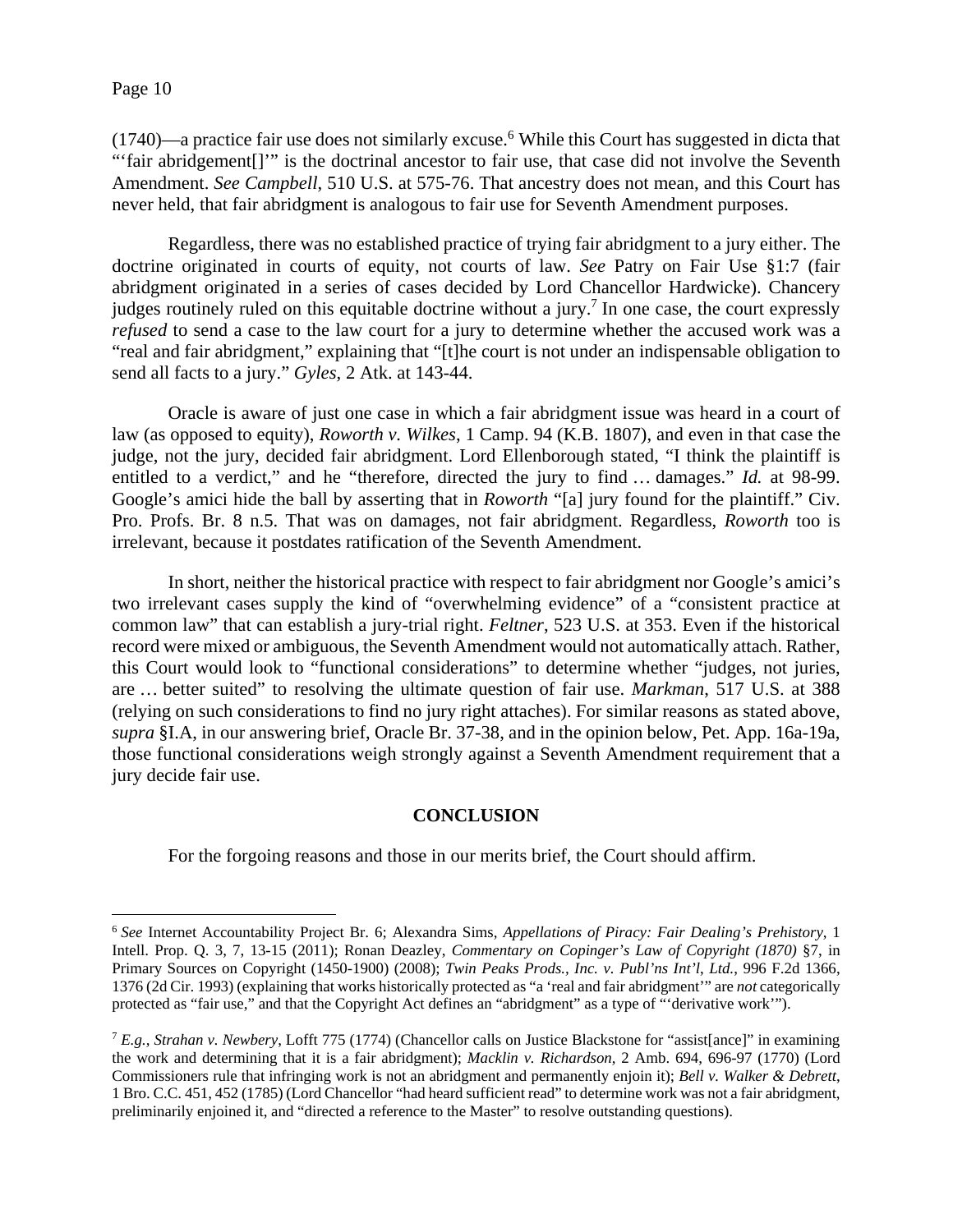$(1740)$ —a practice fair use does not similarly excuse.<sup>6</sup> While this Court has suggested in dicta that "'fair abridgement[]'" is the doctrinal ancestor to fair use, that case did not involve the Seventh Amendment. *See Campbell*, 510 U.S. at 575-76. That ancestry does not mean, and this Court has never held, that fair abridgment is analogous to fair use for Seventh Amendment purposes.

Regardless, there was no established practice of trying fair abridgment to a jury either. The doctrine originated in courts of equity, not courts of law. *See* Patry on Fair Use §1:7 (fair abridgment originated in a series of cases decided by Lord Chancellor Hardwicke). Chancery judges routinely ruled on this equitable doctrine without a jury.<sup>7</sup> In one case, the court expressly *refused* to send a case to the law court for a jury to determine whether the accused work was a "real and fair abridgment," explaining that "[t]he court is not under an indispensable obligation to send all facts to a jury." *Gyles*, 2 Atk. at 143-44.

Oracle is aware of just one case in which a fair abridgment issue was heard in a court of law (as opposed to equity), *Roworth v. Wilkes*, 1 Camp. 94 (K.B. 1807), and even in that case the judge, not the jury, decided fair abridgment. Lord Ellenborough stated, "I think the plaintiff is entitled to a verdict," and he "therefore, directed the jury to find … damages." *Id.* at 98-99. Google's amici hide the ball by asserting that in *Roworth* "[a] jury found for the plaintiff." Civ. Pro. Profs. Br. 8 n.5. That was on damages, not fair abridgment. Regardless, *Roworth* too is irrelevant, because it postdates ratification of the Seventh Amendment.

In short, neither the historical practice with respect to fair abridgment nor Google's amici's two irrelevant cases supply the kind of "overwhelming evidence" of a "consistent practice at common law" that can establish a jury-trial right. *Feltner*, 523 U.S. at 353. Even if the historical record were mixed or ambiguous, the Seventh Amendment would not automatically attach. Rather, this Court would look to "functional considerations" to determine whether "judges, not juries, are … better suited" to resolving the ultimate question of fair use. *Markman*, 517 U.S. at 388 (relying on such considerations to find no jury right attaches). For similar reasons as stated above, *supra* §I.A, in our answering brief, Oracle Br. 37-38, and in the opinion below, Pet. App. 16a-19a, those functional considerations weigh strongly against a Seventh Amendment requirement that a jury decide fair use.

## **CONCLUSION**

For the forgoing reasons and those in our merits brief, the Court should affirm.

<sup>6</sup> *See* Internet Accountability Project Br. 6; Alexandra Sims, *Appellations of Piracy: Fair Dealing's Prehistory*, 1 Intell. Prop. Q. 3, 7, 13-15 (2011); Ronan Deazley, *Commentary on Copinger's Law of Copyright (1870)* §7, in Primary Sources on Copyright (1450-1900) (2008); *Twin Peaks Prods., Inc. v. Publ'ns Int'l*, *Ltd.*, 996 F.2d 1366, 1376 (2d Cir. 1993) (explaining that works historically protected as "a 'real and fair abridgment'" are *not* categorically protected as "fair use," and that the Copyright Act defines an "abridgment" as a type of "'derivative work'").

<sup>7</sup> *E.g.*, *Strahan v. Newbery*, Lofft 775 (1774) (Chancellor calls on Justice Blackstone for "assist[ance]" in examining the work and determining that it is a fair abridgment); *Macklin v. Richardson*, 2 Amb. 694, 696-97 (1770) (Lord Commissioners rule that infringing work is not an abridgment and permanently enjoin it); *Bell v. Walker & Debrett*, 1 Bro. C.C. 451, 452 (1785) (Lord Chancellor "had heard sufficient read" to determine work was not a fair abridgment, preliminarily enjoined it, and "directed a reference to the Master" to resolve outstanding questions).